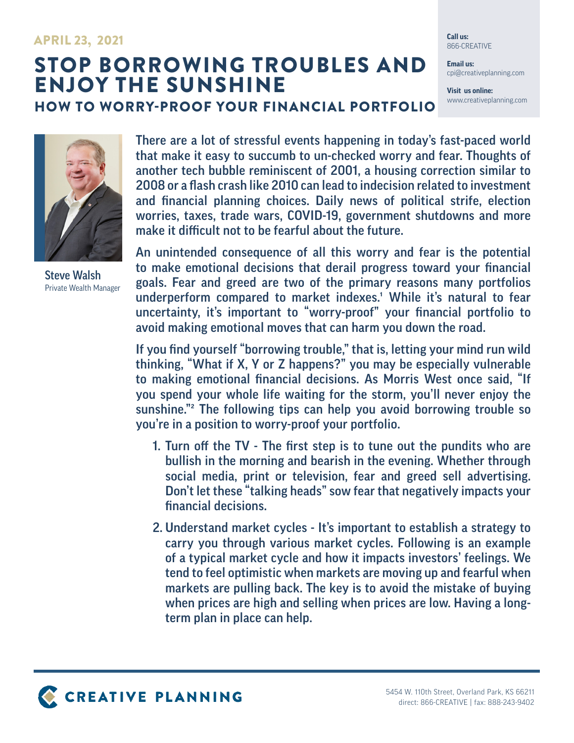## **APRIL 23, 2021 Call us:**  $\frac{1}{2}$

## STOP BORROWING TROUBLES AND ENJOY THE SUNSHINE

HOW TO WORRY-PROOF YOUR FINANCIAL PORTFOLIO

866-CREATIVE

**Email us:** cpi@creativeplanning.com

**Visit us online:** www.creativeplanning.com

Steve Walsh Private Wealth Manager

There are a lot of stressful events happening in today's fast-paced world that make it easy to succumb to un-checked worry and fear. Thoughts of another tech bubble reminiscent of 2001, a housing correction similar to 2008 or a flash crash like 2010 can lead to indecision related to investment and financial planning choices. Daily news of political strife, election worries, taxes, trade wars, COVID-19, government shutdowns and more make it difficult not to be fearful about the future.

An unintended consequence of all this worry and fear is the potential to make emotional decisions that derail progress toward your financial goals. Fear and greed are two of the primary reasons many portfolios underperform compared to market indexes.<sup>1</sup> While it's natural to fear uncertainty, it's important to "worry-proof" your financial portfolio to avoid making emotional moves that can harm you down the road.

If you find yourself "borrowing trouble," that is, letting your mind run wild thinking, "What if X, Y or Z happens?" you may be especially vulnerable to making emotional financial decisions. As Morris West once said, "If you spend your whole life waiting for the storm, you'll never enjoy the sunshine."2 The following tips can help you avoid borrowing trouble so you're in a position to worry-proof your portfolio.

- 1. Turn off the TV The first step is to tune out the pundits who are bullish in the morning and bearish in the evening. Whether through social media, print or television, fear and greed sell advertising. Don't let these "talking heads" sow fear that negatively impacts your financial decisions.
- 2. Understand market cycles It's important to establish a strategy to carry you through various market cycles. Following is an example of a typical market cycle and how it impacts investors' feelings. We tend to feel optimistic when markets are moving up and fearful when markets are pulling back. The key is to avoid the mistake of buying when prices are high and selling when prices are low. Having a longterm plan in place can help.